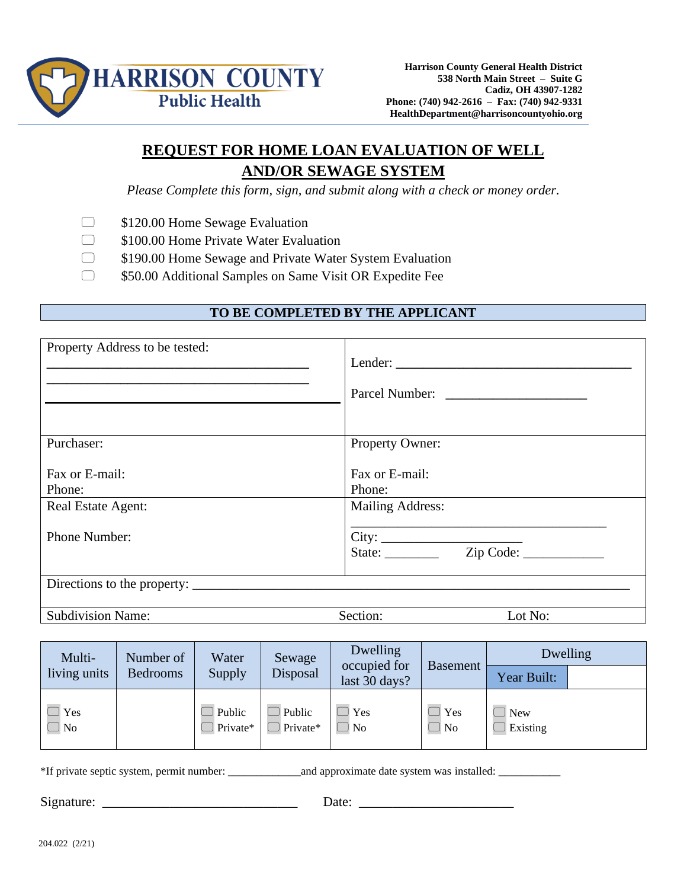

## **REQUEST FOR HOME LOAN EVALUATION OF WELL AND/OR SEWAGE SYSTEM**

*Please Complete this form, sign, and submit along with a check or money order.*

- $\Box$  \$120.00 Home Sewage Evaluation
- **S100.00 Home Private Water Evaluation**
- $\Box$  \$190.00 Home Sewage and Private Water System Evaluation
- $\Box$  \$50.00 Additional Samples on Same Visit OR Expedite Fee

## **TO BE COMPLETED BY THE APPLICANT**

| Property Address to be tested:                 | Parcel Number:                                      |
|------------------------------------------------|-----------------------------------------------------|
| Purchaser:                                     | Property Owner:                                     |
| Fax or E-mail:<br>Phone:<br>Real Estate Agent: | Fax or E-mail:<br>Phone:<br><b>Mailing Address:</b> |
| <b>Phone Number:</b>                           |                                                     |
|                                                |                                                     |
| <b>Subdivision Name:</b>                       | Section:<br>Lot No:                                 |

| Multi-       | Number of       | Water              | Sewage             | Dwelling                      |                 | Dwelling          |  |
|--------------|-----------------|--------------------|--------------------|-------------------------------|-----------------|-------------------|--|
| living units | <b>Bedrooms</b> | Supply             | Disposal           | occupied for<br>last 30 days? | <b>Basement</b> | Year Built:       |  |
| Yes<br>J No  |                 | Public<br>Private* | Public<br>Private* | Yes<br>No.                    | l Yes<br>l No   | ] New<br>Existing |  |

\*If private septic system, permit number: \_\_\_\_\_\_\_\_\_\_\_\_\_and approximate date system was installed: \_\_\_\_\_\_\_\_\_\_\_

Signature: \_\_\_\_\_\_\_\_\_\_\_\_\_\_\_\_\_\_\_\_\_\_\_\_\_\_\_\_\_ Date: \_\_\_\_\_\_\_\_\_\_\_\_\_\_\_\_\_\_\_\_\_\_\_